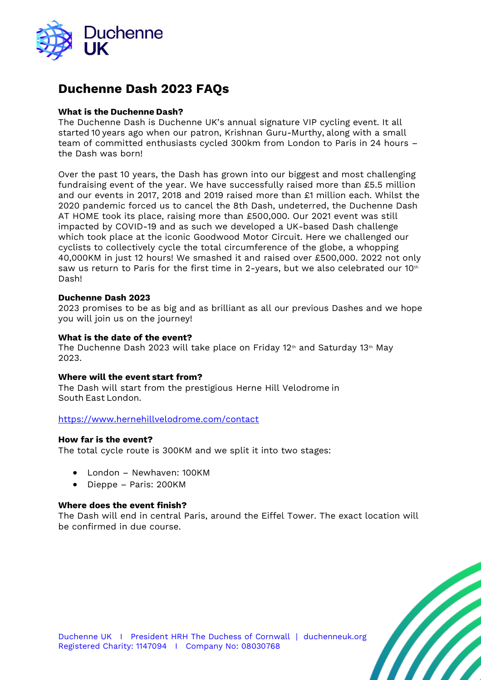

# **Duchenne Dash 2023 FAQs**

# **What is the Duchenne Dash?**

The Duchenne Dash is Duchenne UK's annual signature VIP cycling event. It all started 10 years ago when our patron, Krishnan Guru-Murthy, along with a small team of committed enthusiasts cycled 300km from London to Paris in 24 hours – the Dash was born!  

Over the past 10 years, the Dash has grown into our biggest and most challenging fundraising event of the year. We have successfully raised more than £5.5 million and our events in 2017, 2018 and 2019 raised more than £1 million each. Whilst the 2020 pandemic forced us to cancel the 8th Dash, undeterred, the Duchenne Dash AT HOME took its place, raising more than £500,000. Our 2021 event was still impacted by COVID-19 and as such we developed a UK-based Dash challenge which took place at the iconic Goodwood Motor Circuit. Here we challenged our cyclists to collectively cycle the total circumference of the globe, a whopping 40,000KM in just 12 hours! We smashed it and raised over £500,000. 2022 not only saw us return to Paris for the first time in 2-years, but we also celebrated our 10th Dash!

# **Duchenne Dash 2023**

2023 promises to be as big and as brilliant as all our previous Dashes and we hope you will join us on the journey!

## **What is the date of the event?**

The Duchenne Dash 2023 will take place on Friday 12<sup>th</sup> and Saturday 13<sup>th</sup> May 2023.

## **Where will the event start from?**

The Dash will start from the prestigious Herne Hill Velodrome in South East London.  

## <https://www.hernehillvelodrome.com/contact>

## **How far is the event?**

The total cycle route is 300KM and we split it into two stages:  

- London Newhaven: 100KM
- Dieppe Paris: 200KM

# **Where does the event finish?**

The Dash will end in central Paris, around the Eiffel Tower. The exact location will be confirmed in due course.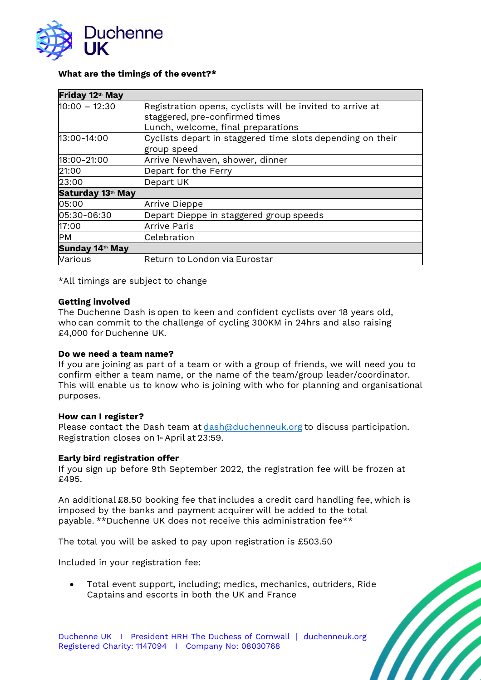

# **What are the timings of the event?\***

| Friday 12th May   |                                                                                                                                   |
|-------------------|-----------------------------------------------------------------------------------------------------------------------------------|
| $10:00 - 12:30$   | Registration opens, cyclists will be invited to arrive at<br>staggered, pre-confirmed times<br>Lunch, welcome, final preparations |
| 13:00-14:00       | Cyclists depart in staggered time slots depending on their<br>group speed                                                         |
| 18:00-21:00       | Arrive Newhaven, shower, dinner                                                                                                   |
| 21:00             | Depart for the Ferry                                                                                                              |
| 23:00             | Depart UK                                                                                                                         |
| Saturday 13th May |                                                                                                                                   |
| 05:00             | <b>Arrive Dieppe</b>                                                                                                              |
| 05:30-06:30       | Depart Dieppe in staggered group speeds                                                                                           |
| 17:00             | Arrive Paris                                                                                                                      |
| PM                | Celebration                                                                                                                       |
| Sunday 14th May   |                                                                                                                                   |
| Various           | Return to London via Eurostar                                                                                                     |

\*All timings are subject to change  

## **Getting involved**

The Duchenne Dash is open to keen and confident cyclists over 18 years old, who can commit to the challenge of cycling 300KM in 24hrs and also raising £4,000 for Duchenne UK.  

## **Do we need a team name?**

If you are joining as part of a team or with a group of friends, we will need you to confirm either a team name, or the name of the team/group leader/coordinator. This will enable us to know who is joining with who for planning and organisational purposes.

## **How can I register?**

Please contact the Dash team at [dash@duchenneuk.org](mailto:dash@duchenneuk.org) to discuss participation. Registration closes on 1<sup>st</sup> April at 23:59.

## **Early bird registration offer**

If you sign up before 9th September 2022, the registration fee will be frozen at £495.

An additional £8.50 booking fee that includes a credit card handling fee, which is imposed by the banks and payment acquirer will be added to the total payable. \*\*Duchenne UK does not receive this administration fee\*\*

The total you will be asked to pay upon registration is £503.50

Included in your registration fee:

• Total event support, including; medics, mechanics, outriders, Ride Captains and escorts in both the UK and France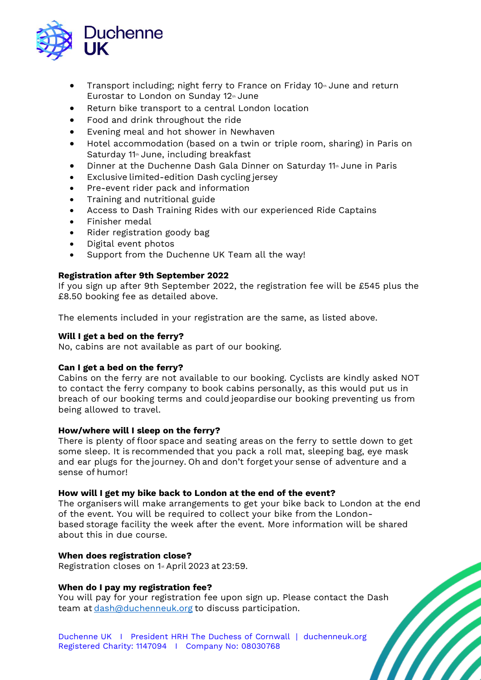

- Transport including; night ferry to France on Friday 10<sup>th</sup> June and return Eurostar to London on Sunday 12<sup>th</sup> June
- Return bike transport to a central London location
- Food and drink throughout the ride
- Evening meal and hot shower in Newhaven
- Hotel accommodation (based on a twin or triple room, sharing) in Paris on Saturday 11<sup>th</sup> June, including breakfast
- Dinner at the Duchenne Dash Gala Dinner on Saturday 11<sup>th</sup> June in Paris
- Exclusive limited-edition Dash cycling jersey
- Pre-event rider pack and information
- Training and nutritional guide
- Access to Dash Training Rides with our experienced Ride Captains
- Finisher medal
- Rider registration goody bag
- Digital event photos
- Support from the Duchenne UK Team all the way!

# **Registration after 9th September 2022**

If you sign up after 9th September 2022, the registration fee will be £545 plus the £8.50 booking fee as detailed above.

The elements included in your registration are the same, as listed above.

# **Will I get a bed on the ferry?**

No, cabins are not available as part of our booking.  

# **Can I get a bed on the ferry?**

Cabins on the ferry are not available to our booking. Cyclists are kindly asked NOT to contact the ferry company to book cabins personally, as this would put us in breach of our booking terms and could jeopardise our booking preventing us from being allowed to travel.  

## **How/where will I sleep on the ferry?**

There is plenty of floor space and seating areas on the ferry to settle down to get some sleep. It is recommended that you pack a roll mat, sleeping bag, eye mask and ear plugs for the journey. Oh and don't forget your sense of adventure and a sense of humor!

## **How will I get my bike back to London at the end of the event?**

The organisers will make arrangements to get your bike back to London at the end of the event. You will be required to collect your bike from the Londonbased storage facility the week after the event. More information will be shared about this in due course.  

## **When does registration close?**

Registration closes on 1<sup>st</sup> April 2023 at 23:59.

# **When do I pay my registration fee?**

You will pay for your registration fee upon sign up. Please contact the Dash team at [dash@duchenneuk.org](mailto:dash@duchenneuk.org) to discuss participation.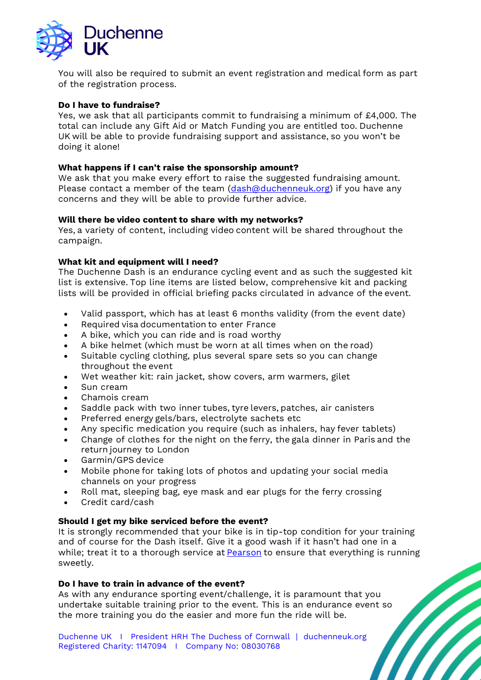

You will also be required to submit an event registration and medical form as part of the registration process.  

# **Do I have to fundraise?**

Yes, we ask that all participants commit to fundraising a minimum of £4,000. The total can include any Gift Aid or Match Funding you are entitled too. Duchenne UK will be able to provide fundraising support and assistance, so you won't be doing it alone!   

# **What happens if I can't raise the sponsorship amount?**

We ask that you make every effort to raise the suggested fundraising amount. Please contact a member of the team [\(dash@duchenneuk.org\)](mailto:dash@duchenneuk.org) if you have any concerns and they will be able to provide further advice.

# **Will there be video content to share with my networks?**

Yes, a variety of content, including video content will be shared throughout the campaign.

# **What kit and equipment will I need?**

The Duchenne Dash is an endurance cycling event and as such the suggested kit list is extensive. Top line items are listed below, comprehensive kit and packing lists will be provided in official briefing packs circulated in advance of the event.  

- Valid passport, which has at least 6 months validity (from the event date)
- Required visa documentation to enter France
- A bike, which you can ride and is road worthy
- A bike helmet (which must be worn at all times when on the road)
- Suitable cycling clothing, plus several spare sets so you can change throughout the event
- Wet weather kit: rain jacket, show covers, arm warmers, gilet
- Sun cream
- Chamois cream
- Saddle pack with two inner tubes, tyre levers, patches, air canisters
- Preferred energy gels/bars, electrolyte sachets etc
- Any specific medication you require (such as inhalers, hay fever tablets)
- Change of clothes for the night on the ferry, the gala dinner in Paris and the return journey to London
- Garmin/GPS device
- Mobile phone for taking lots of photos and updating your social media channels on your progress
- Roll mat, sleeping bag, eye mask and ear plugs for the ferry crossing
- Credit card/cash

## **Should I get my bike serviced before the event?**

It is strongly recommended that your bike is in tip-top condition for your training and of course for the Dash itself. Give it a good wash if it hasn't had one in a while; treat it to a thorough service at [Pearson](https://www.pearson1860.com/) to ensure that everything is running sweetly.  

## **Do I have to train in advance of the event?**

As with any endurance sporting event/challenge, it is paramount that you undertake suitable training prior to the event. This is an endurance event so the more training you do the easier and more fun the ride will be.  

Duchenne UK I President HRH The Duchess of Cornwall | duchenneuk.org Registered Charity: 1147094 I Company No: 08030768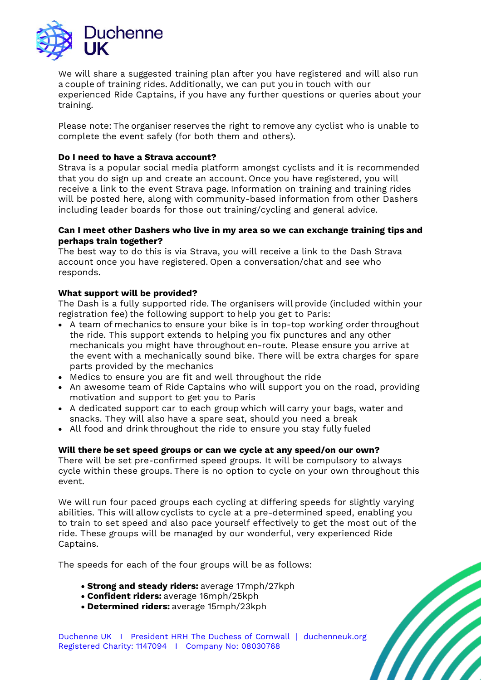

We will share a suggested training plan after you have registered and will also run a couple of training rides. Additionally, we can put you in touch with our experienced Ride Captains, if you have any further questions or queries about your training.

Please note: The organiser reserves the right to remove any cyclist who is unable to complete the event safely (for both them and others).  

# **Do I need to have a Strava account?**

Strava is a popular social media platform amongst cyclists and it is recommended that you do sign up and create an account. Once you have registered, you will receive a link to the event Strava page. Information on training and training rides will be posted here, along with community-based information from other Dashers including leader boards for those out training/cycling and general advice.   

# **Can I meet other Dashers who live in my area so we can exchange training tips and perhaps train together?**

The best way to do this is via Strava, you will receive a link to the Dash Strava account once you have registered. Open a conversation/chat and see who responds.  

# **What support will be provided?**

The Dash is a fully supported ride. The organisers will provide (included within your registration fee) the following support to help you get to Paris:  

- A team of mechanics to ensure your bike is in top-top working order throughout the ride. This support extends to helping you fix punctures and any other mechanicals you might have throughout en-route. Please ensure you arrive at the event with a mechanically sound bike. There will be extra charges for spare parts provided by the mechanics
- Medics to ensure you are fit and well throughout the ride
- An awesome team of Ride Captains who will support you on the road, providing motivation and support to get you to Paris
- A dedicated support car to each group which will carry your bags, water and snacks. They will also have a spare seat, should you need a break
- All food and drink throughout the ride to ensure you stay fully fueled

# **Will there be set speed groups or can we cycle at any speed/on our own?**

There will be set pre-confirmed speed groups. It will be compulsory to always cycle within these groups. There is no option to cycle on your own throughout this event.  

We will run four paced groups each cycling at differing speeds for slightly varying abilities. This will allow cyclists to cycle at a pre-determined speed, enabling you to train to set speed and also pace yourself effectively to get the most out of the ride. These groups will be managed by our wonderful, very experienced Ride Captains.  

The speeds for each of the four groups will be as follows:  

- **Strong and steady riders:** average 17mph/27kph
- **Confident riders:** average 16mph/25kph
- **Determined riders:** average 15mph/23kph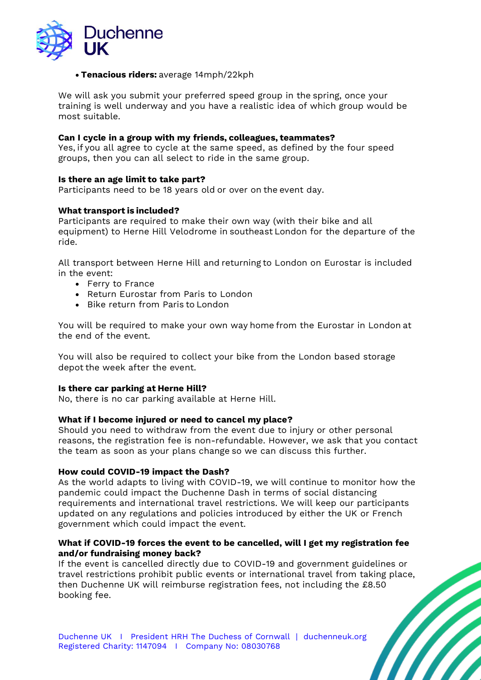

# • **Tenacious riders:** average 14mph/22kph

We will ask you submit your preferred speed group in the spring, once your training is well underway and you have a realistic idea of which group would be most suitable.  

## **Can I cycle in a group with my friends, colleagues, teammates?**

Yes, if you all agree to cycle at the same speed, as defined by the four speed groups, then you can all select to ride in the same group.  

# **Is there an age limit to take part?**

Participants need to be 18 years old or over on the event day.  

# **What transport is included?**

Participants are required to make their own way (with their bike and all equipment) to Herne Hill Velodrome in southeast London for the departure of the ride.  

All transport between Herne Hill and returning to London on Eurostar is included in the event:

- Ferry to France
- Return Eurostar from Paris to London
- Bike return from Paris to London

You will be required to make your own way home from the Eurostar in London at the end of the event.  

You will also be required to collect your bike from the London based storage depot the week after the event.  

## **Is there car parking at Herne Hill?**

No, there is no car parking available at Herne Hill.  

## **What if I become injured or need to cancel my place?**

Should you need to withdraw from the event due to injury or other personal reasons, the registration fee is non-refundable. However, we ask that you contact the team as soon as your plans change so we can discuss this further.

## **How could COVID-19 impact the Dash?**

As the world adapts to living with COVID-19, we will continue to monitor how the pandemic could impact the Duchenne Dash in terms of social distancing requirements and international travel restrictions. We will keep our participants updated on any regulations and policies introduced by either the UK or French government which could impact the event.

# **What if COVID-19 forces the event to be cancelled, will I get my registration fee and/or fundraising money back?**

If the event is cancelled directly due to COVID-19 and government guidelines or travel restrictions prohibit public events or international travel from taking place, then Duchenne UK will reimburse registration fees, not including the £8.50 booking fee.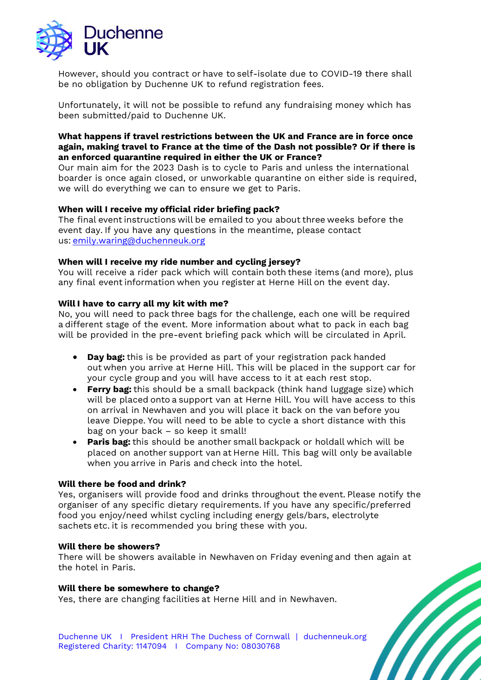

However, should you contract or have to self-isolate due to COVID-19 there shall be no obligation by Duchenne UK to refund registration fees.

Unfortunately, it will not be possible to refund any fundraising money which has been submitted/paid to Duchenne UK.

# **What happens if travel restrictions between the UK and France are in force once again, making travel to France at the time of the Dash not possible? Or if there is an enforced quarantine required in either the UK or France?**

Our main aim for the 2023 Dash is to cycle to Paris and unless the international boarder is once again closed, or unworkable quarantine on either side is required, we will do everything we can to ensure we get to Paris.

# **When will I receive my official rider briefing pack?**

The final event instructions will be emailed to you about three weeks before the event day. If you have any questions in the meantime, please contact us: [emily.waring@duchenneuk.org](mailto:emily.waring@duchenneuk.org)  

# **When will I receive my ride number and cycling jersey?**

You will receive a rider pack which will contain both these items (and more), plus any final event information when you register at Herne Hill on the event day.

# **Will I have to carry all my kit with me?**

No, you will need to pack three bags for the challenge, each one will be required a different stage of the event. More information about what to pack in each bag will be provided in the pre-event briefing pack which will be circulated in April.

- **Day bag:** this is be provided as part of your registration pack handed out when you arrive at Herne Hill. This will be placed in the support car for your cycle group and you will have access to it at each rest stop.
- **Ferry bag:** this should be a small backpack (think hand luggage size) which will be placed onto a support van at Herne Hill. You will have access to this on arrival in Newhaven and you will place it back on the van before you leave Dieppe. You will need to be able to cycle a short distance with this bag on your back – so keep it small!
- **Paris bag:** this should be another small backpack or holdall which will be placed on another support van at Herne Hill. This bag will only be available when you arrive in Paris and check into the hotel.

## **Will there be food and drink?**

Yes, organisers will provide food and drinks throughout the event. Please notify the organiser of any specific dietary requirements. If you have any specific/preferred food you enjoy/need whilst cycling including energy gels/bars, electrolyte sachets etc. it is recommended you bring these with you.

## **Will there be showers?**

There will be showers available in Newhaven on Friday evening and then again at the hotel in Paris.  

## **Will there be somewhere to change?**

Yes, there are changing facilities at Herne Hill and in Newhaven.